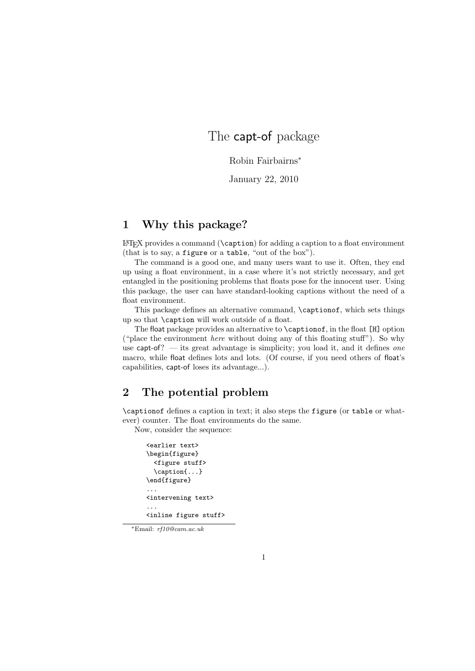## The capt-of package

Robin Fairbairns<sup>∗</sup>

January 22, 2010

## 1 Why this package?

 $\LaTeX\ provides a command (\caption) for adding a caption to a float environment$ (that is to say, a figure or a table, "out of the box").

The command is a good one, and many users want to use it. Often, they end up using a float environment, in a case where it's not strictly necessary, and get entangled in the positioning problems that floats pose for the innocent user. Using this package, the user can have standard-looking captions without the need of a float environment.

This package defines an alternative command, \captionof, which sets things up so that \caption will work outside of a float.

The float package provides an alternative to \captionof, in the float [H] option ("place the environment here without doing any of this floating stuff"). So why use capt-of? — its great advantage is simplicity; you load it, and it defines one macro, while float defines lots and lots. (Of course, if you need others of float's capabilities, capt-of loses its advantage...).

## 2 The potential problem

\captionof defines a caption in text; it also steps the figure (or table or whatever) counter. The float environments do the same.

Now, consider the sequence:

```
<earlier text>
\begin{figure}
  <figure stuff>
  \caption{...}
\end{figure}
...
<intervening text>
...
<inline figure stuff>
```
<sup>∗</sup>Email: rf10@cam.ac.uk